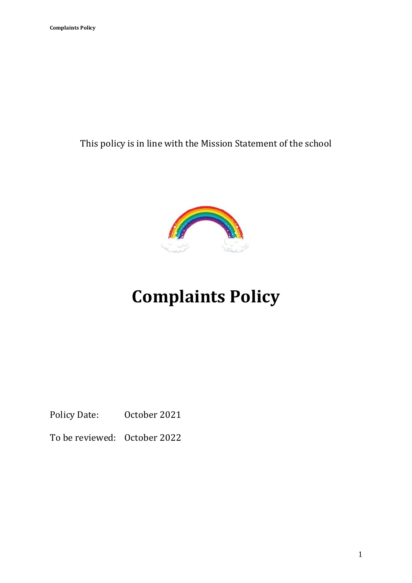This policy is in line with the Mission Statement of the school



# **Complaints Policy**

Policy Date: October 2021

To be reviewed: October 2022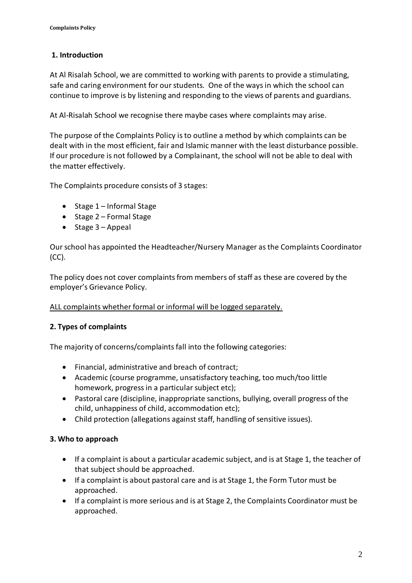# **1. Introduction**

At Al Risalah School, we are committed to working with parents to provide a stimulating, safe and caring environment for our students. One of the ways in which the school can continue to improve is by listening and responding to the views of parents and guardians.

At Al-Risalah School we recognise there maybe cases where complaints may arise.

The purpose of the Complaints Policy is to outline a method by which complaints can be dealt with in the most efficient, fair and Islamic manner with the least disturbance possible. If our procedure is not followed by a Complainant, the school will not be able to deal with the matter effectively.

The Complaints procedure consists of 3 stages:

- Stage 1 Informal Stage
- Stage 2 Formal Stage
- Stage 3 Appeal

Our school has appointed the Headteacher/Nursery Manager as the Complaints Coordinator  $(CC)$ .

The policy does not cover complaints from members of staff as these are covered by the employer's Grievance Policy.

ALL complaints whether formal or informal will be logged separately.

## **2. Types of complaints**

The majority of concerns/complaints fall into the following categories:

- Financial, administrative and breach of contract;
- Academic (course programme, unsatisfactory teaching, too much/too little homework, progress in a particular subject etc);
- Pastoral care (discipline, inappropriate sanctions, bullying, overall progress of the child, unhappiness of child, accommodation etc);
- Child protection (allegations against staff, handling of sensitive issues).

#### **3. Who to approach**

- If a complaint is about a particular academic subject, and is at Stage 1, the teacher of that subject should be approached.
- If a complaint is about pastoral care and is at Stage 1, the Form Tutor must be approached.
- If a complaint is more serious and is at Stage 2, the Complaints Coordinator must be approached.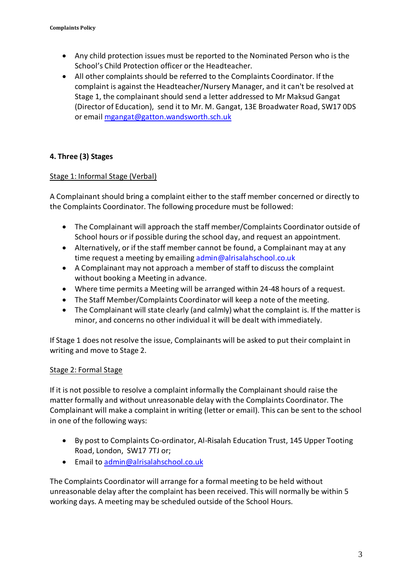- Any child protection issues must be reported to the Nominated Person who is the School's Child Protection officer or the Headteacher.
- All other complaints should be referred to the Complaints Coordinator. If the complaint is against the Headteacher/Nursery Manager, and it can't be resolved at Stage 1, the complainant should send a letter addressed to Mr Maksud Gangat (Director of Education), send it to Mr. M. Gangat, 13E Broadwater Road, SW17 0DS or emai[l mgangat@gatton.wandsworth.sch.uk](mailto:mgangat@gatton.wandsworth.sch.uk)

### **4. Three (3) Stages**

#### Stage 1: Informal Stage (Verbal)

A Complainant should bring a complaint either to the staff member concerned or directly to the Complaints Coordinator. The following procedure must be followed:

- The Complainant will approach the staff member/Complaints Coordinator outside of School hours or if possible during the school day, and request an appointment.
- Alternatively, or if the staff member cannot be found, a Complainant may at any time request a meeting by emailing admin@alrisalahschool.co.uk
- A Complainant may not approach a member of staff to discuss the complaint without booking a Meeting in advance.
- Where time permits a Meeting will be arranged within 24-48 hours of a request.
- The Staff Member/Complaints Coordinator will keep a note of the meeting.
- The Complainant will state clearly (and calmly) what the complaint is. If the matter is minor, and concerns no other individual it will be dealt with immediately.

If Stage 1 does not resolve the issue, Complainants will be asked to put their complaint in writing and move to Stage 2.

#### Stage 2: Formal Stage

If it is not possible to resolve a complaint informally the Complainant should raise the matter formally and without unreasonable delay with the Complaints Coordinator. The Complainant will make a complaint in writing (letter or email). This can be sent to the school in one of the following ways:

- By post to Complaints Co-ordinator, Al-Risalah Education Trust, 145 Upper Tooting Road, London, SW17 7TJ or;
- Email to [admin@alrisalahschool.co.uk](mailto:admin@alrisalahschool.co.uk)

The Complaints Coordinator will arrange for a formal meeting to be held without unreasonable delay after the complaint has been received. This will normally be within 5 working days. A meeting may be scheduled outside of the School Hours.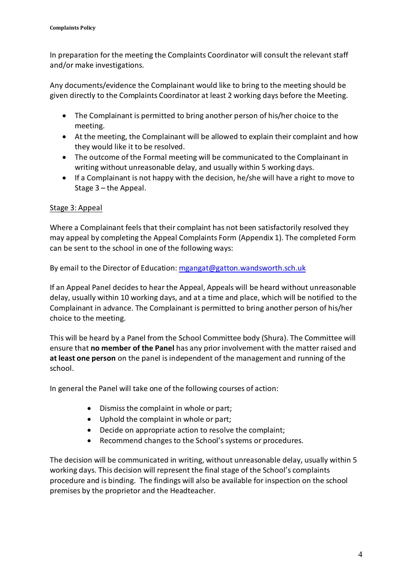In preparation for the meeting the Complaints Coordinator will consult the relevant staff and/or make investigations.

Any documents/evidence the Complainant would like to bring to the meeting should be given directly to the Complaints Coordinator at least 2 working days before the Meeting.

- The Complainant is permitted to bring another person of his/her choice to the meeting.
- At the meeting, the Complainant will be allowed to explain their complaint and how they would like it to be resolved.
- The outcome of the Formal meeting will be communicated to the Complainant in writing without unreasonable delay, and usually within 5 working days.
- If a Complainant is not happy with the decision, he/she will have a right to move to Stage 3 – the Appeal.

#### Stage 3: Appeal

Where a Complainant feels that their complaint has not been satisfactorily resolved they may appeal by completing the Appeal Complaints Form (Appendix 1). The completed Form can be sent to the school in one of the following ways:

By email to the Director of Education: [mgangat@gatton.wandsworth.sch.uk](mailto:mgangat@gatton.wandsworth.sch.uk)

If an Appeal Panel decides to hear the Appeal, Appeals will be heard without unreasonable delay, usually within 10 working days, and at a time and place, which will be notified to the Complainant in advance. The Complainant is permitted to bring another person of his/her choice to the meeting.

This will be heard by a Panel from the School Committee body (Shura). The Committee will ensure that **no member of the Panel** has any prior involvement with the matter raised and **at least one person** on the panel is independent of the management and running of the school.

In general the Panel will take one of the following courses of action:

- Dismiss the complaint in whole or part;
- Uphold the complaint in whole or part;
- Decide on appropriate action to resolve the complaint;
- Recommend changes to the School's systems or procedures.

The decision will be communicated in writing, without unreasonable delay, usually within 5 working days. This decision will represent the final stage of the School's complaints procedure and is binding. The findings will also be available for inspection on the school premises by the proprietor and the Headteacher.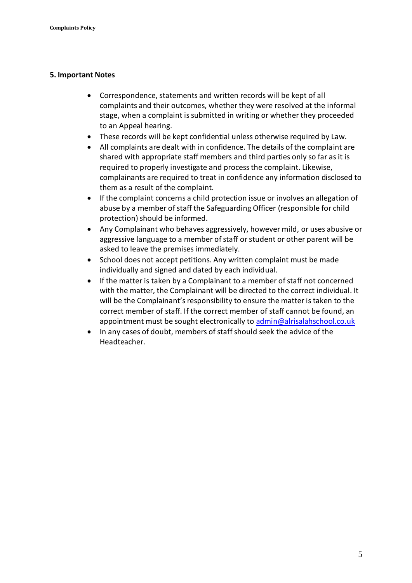#### **5. Important Notes**

- Correspondence, statements and written records will be kept of all complaints and their outcomes, whether they were resolved at the informal stage, when a complaint is submitted in writing or whether they proceeded to an Appeal hearing.
- These records will be kept confidential unless otherwise required by Law.
- All complaints are dealt with in confidence. The details of the complaint are shared with appropriate staff members and third parties only so far as it is required to properly investigate and process the complaint. Likewise, complainants are required to treat in confidence any information disclosed to them as a result of the complaint.
- If the complaint concerns a child protection issue or involves an allegation of abuse by a member of staff the Safeguarding Officer (responsible for child protection) should be informed.
- Any Complainant who behaves aggressively, however mild, or uses abusive or aggressive language to a member of staff or student or other parent will be asked to leave the premises immediately.
- School does not accept petitions. Any written complaint must be made individually and signed and dated by each individual.
- If the matter is taken by a Complainant to a member of staff not concerned with the matter, the Complainant will be directed to the correct individual. It will be the Complainant's responsibility to ensure the matter is taken to the correct member of staff. If the correct member of staff cannot be found, an appointment must be sought electronically t[o admin@alrisalahschool.co.uk](mailto:admin@alrisalahschool.co.uk)
- In any cases of doubt, members of staff should seek the advice of the Headteacher.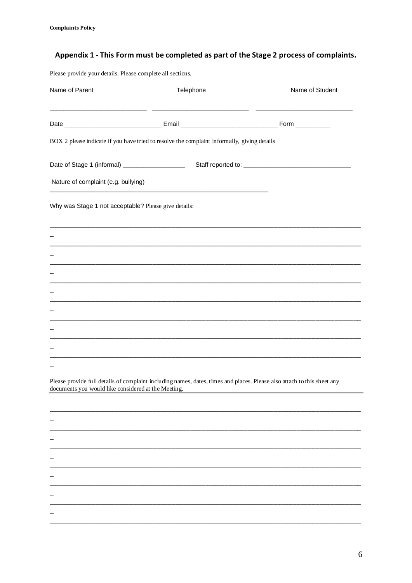# Appendix 1 - This Form must be completed as part of the Stage 2 process of complaints.

Please provide your details. Please complete all sections.

| Name of Parent                                       | Telephone                                                                                                               | Name of Student                                                                                                      |
|------------------------------------------------------|-------------------------------------------------------------------------------------------------------------------------|----------------------------------------------------------------------------------------------------------------------|
|                                                      |                                                                                                                         |                                                                                                                      |
|                                                      | BOX 2 please indicate if you have tried to resolve the complaint informally, giving details                             |                                                                                                                      |
| Date of Stage 1 (informal) ___________________       |                                                                                                                         |                                                                                                                      |
| Nature of complaint (e.g. bullying)                  |                                                                                                                         |                                                                                                                      |
| Why was Stage 1 not acceptable? Please give details: |                                                                                                                         |                                                                                                                      |
|                                                      | ,我们也不能在这里的人,我们也不能在这里的人,我们也不能在这里的人,我们也不能在这里的人,我们也不能在这里的人,我们也不能在这里的人,我们也不能在这里的人,我们                                        |                                                                                                                      |
|                                                      |                                                                                                                         |                                                                                                                      |
|                                                      |                                                                                                                         |                                                                                                                      |
|                                                      |                                                                                                                         |                                                                                                                      |
|                                                      |                                                                                                                         |                                                                                                                      |
|                                                      |                                                                                                                         |                                                                                                                      |
| documents you would like considered at the Meeting.  | Please provide full details of complaint including names, dates, times and places. Please also attach to this sheet any | <u> 1980 - Jan Barat, martin amerikan basar dan bagi dan bagi dan bagi dan bagi dan bagi dan bagi dan bagi dan b</u> |
|                                                      |                                                                                                                         |                                                                                                                      |
|                                                      |                                                                                                                         |                                                                                                                      |
|                                                      |                                                                                                                         |                                                                                                                      |
|                                                      |                                                                                                                         |                                                                                                                      |
|                                                      |                                                                                                                         |                                                                                                                      |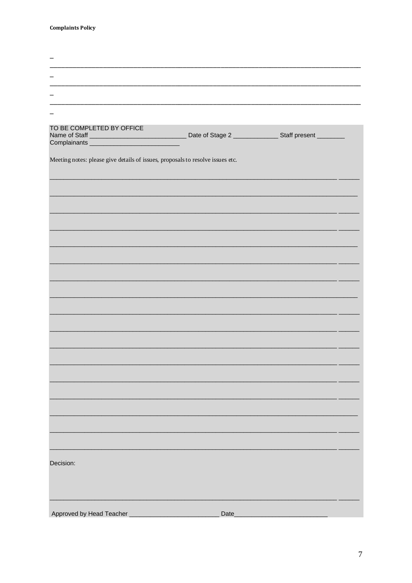| TO BE COMPLETED BY OFFICE                                                      |      | Date of Stage 2 __________________Staff present _________ |  |
|--------------------------------------------------------------------------------|------|-----------------------------------------------------------|--|
|                                                                                |      |                                                           |  |
| Meeting notes: please give details of issues, proposals to resolve issues etc. |      |                                                           |  |
|                                                                                |      |                                                           |  |
|                                                                                |      |                                                           |  |
|                                                                                |      |                                                           |  |
|                                                                                |      |                                                           |  |
|                                                                                |      |                                                           |  |
|                                                                                |      |                                                           |  |
|                                                                                |      |                                                           |  |
|                                                                                |      |                                                           |  |
|                                                                                |      |                                                           |  |
|                                                                                |      |                                                           |  |
|                                                                                |      |                                                           |  |
|                                                                                |      |                                                           |  |
|                                                                                |      |                                                           |  |
|                                                                                |      |                                                           |  |
|                                                                                |      |                                                           |  |
|                                                                                |      |                                                           |  |
|                                                                                |      |                                                           |  |
|                                                                                |      |                                                           |  |
|                                                                                |      |                                                           |  |
|                                                                                |      |                                                           |  |
|                                                                                |      |                                                           |  |
|                                                                                |      |                                                           |  |
|                                                                                |      |                                                           |  |
|                                                                                |      |                                                           |  |
|                                                                                |      |                                                           |  |
| Decision:                                                                      |      |                                                           |  |
|                                                                                |      |                                                           |  |
|                                                                                |      |                                                           |  |
|                                                                                |      |                                                           |  |
| Approved by Head Teacher                                                       | Date |                                                           |  |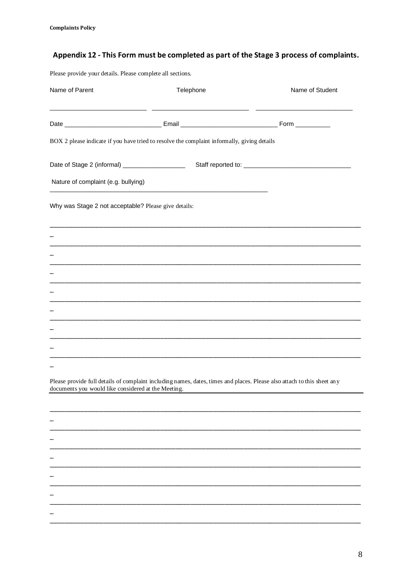# Appendix 12 - This Form must be completed as part of the Stage 3 process of complaints.

Please provide your details. Please complete all sections.

| Name of Parent                                       | Telephone                                                                                                               | Name of Student                               |
|------------------------------------------------------|-------------------------------------------------------------------------------------------------------------------------|-----------------------------------------------|
|                                                      |                                                                                                                         |                                               |
|                                                      | BOX 2 please indicate if you have tried to resolve the complaint informally, giving details                             |                                               |
| Date of Stage 2 (informal) ____________________      |                                                                                                                         |                                               |
| Nature of complaint (e.g. bullying)                  |                                                                                                                         |                                               |
| Why was Stage 2 not acceptable? Please give details: |                                                                                                                         |                                               |
|                                                      | <u> 1989 - Johann Harry Harry Harry Harry Harry Harry Harry Harry Harry Harry Harry Harry Harry Harry Harry Harry</u>   |                                               |
|                                                      | ,我们也不能在这里的人,我们也不能在这里的人,我们也不能在这里的人,我们也不能在这里的人,我们也不能在这里的人,我们也不能在这里的人,我们也不能在这里的人,我们也                                       |                                               |
|                                                      |                                                                                                                         |                                               |
|                                                      |                                                                                                                         |                                               |
|                                                      |                                                                                                                         |                                               |
|                                                      |                                                                                                                         |                                               |
|                                                      |                                                                                                                         |                                               |
| documents you would like considered at the Meeting.  | Please provide full details of complaint including names, dates, times and places. Please also attach to this sheet any | <u> 1989 - Jan James Barnett, mars et al.</u> |
|                                                      |                                                                                                                         |                                               |
|                                                      |                                                                                                                         |                                               |
|                                                      |                                                                                                                         |                                               |
|                                                      |                                                                                                                         |                                               |
|                                                      |                                                                                                                         |                                               |
|                                                      |                                                                                                                         |                                               |